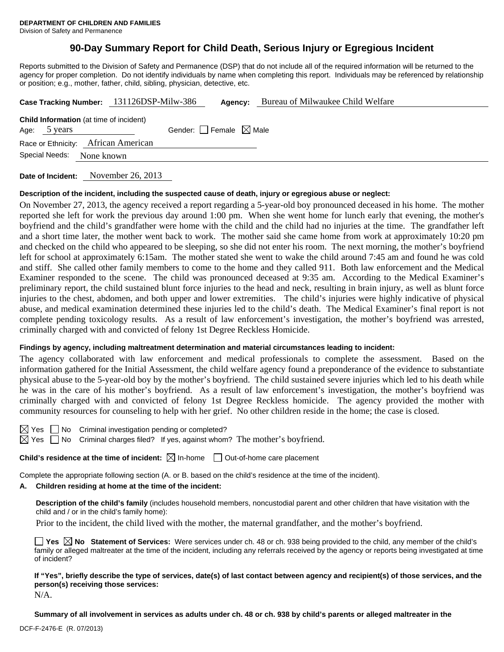# **90-Day Summary Report for Child Death, Serious Injury or Egregious Incident**

Reports submitted to the Division of Safety and Permanence (DSP) that do not include all of the required information will be returned to the agency for proper completion. Do not identify individuals by name when completing this report. Individuals may be referenced by relationship or position; e.g., mother, father, child, sibling, physician, detective, etc.

|                                                                | Case Tracking Number: 131126DSP-Milw-386 | Agency:                         | Bureau of Milwaukee Child Welfare |  |  |
|----------------------------------------------------------------|------------------------------------------|---------------------------------|-----------------------------------|--|--|
| <b>Child Information</b> (at time of incident)<br>Age: 5 years |                                          | Gender: Female $\boxtimes$ Male |                                   |  |  |
| Race or Ethnicity: African American                            |                                          |                                 |                                   |  |  |
| Special Needs:<br>None known                                   |                                          |                                 |                                   |  |  |
|                                                                |                                          |                                 |                                   |  |  |

**Date of Incident:** November 26, 2013

#### **Description of the incident, including the suspected cause of death, injury or egregious abuse or neglect:**

On November 27, 2013, the agency received a report regarding a 5-year-old boy pronounced deceased in his home. The mother reported she left for work the previous day around 1:00 pm. When she went home for lunch early that evening, the mother's boyfriend and the child's grandfather were home with the child and the child had no injuries at the time. The grandfather left and a short time later, the mother went back to work. The mother said she came home from work at approximately 10:20 pm and checked on the child who appeared to be sleeping, so she did not enter his room. The next morning, the mother's boyfriend left for school at approximately 6:15am. The mother stated she went to wake the child around 7:45 am and found he was cold and stiff. She called other family members to come to the home and they called 911. Both law enforcement and the Medical Examiner responded to the scene. The child was pronounced deceased at 9:35 am. According to the Medical Examiner's preliminary report, the child sustained blunt force injuries to the head and neck, resulting in brain injury, as well as blunt force injuries to the chest, abdomen, and both upper and lower extremities. The child's injuries were highly indicative of physical abuse, and medical examination determined these injuries led to the child's death. The Medical Examiner's final report is not complete pending toxicology results. As a result of law enforcement's investigation, the mother's boyfriend was arrested, criminally charged with and convicted of felony 1st Degree Reckless Homicide.

#### **Findings by agency, including maltreatment determination and material circumstances leading to incident:**

The agency collaborated with law enforcement and medical professionals to complete the assessment. Based on the information gathered for the Initial Assessment, the child welfare agency found a preponderance of the evidence to substantiate physical abuse to the 5-year-old boy by the mother's boyfriend. The child sustained severe injuries which led to his death while he was in the care of his mother's boyfriend. As a result of law enforcement's investigation, the mother's boyfriend was criminally charged with and convicted of felony 1st Degree Reckless homicide. The agency provided the mother with community resources for counseling to help with her grief. No other children reside in the home; the case is closed.

| ×<br>╭ |     | l |
|--------|-----|---|
| v      | . . | I |

 $\Box$  No Criminal investigation pending or completed?

 $\boxtimes$  Yes  $\Box$  No Criminal charges filed? If yes, against whom? The mother's boyfriend.

**Child's residence at the time of incident:**  $\boxtimes$  In-home  $\Box$  Out-of-home care placement

Complete the appropriate following section (A. or B. based on the child's residence at the time of the incident).

# **A. Children residing at home at the time of the incident:**

**Description of the child's family** (includes household members, noncustodial parent and other children that have visitation with the child and / or in the child's family home):

Prior to the incident, the child lived with the mother, the maternal grandfather, and the mother's boyfriend.

**Yes No Statement of Services:** Were services under ch. 48 or ch. 938 being provided to the child, any member of the child's family or alleged maltreater at the time of the incident, including any referrals received by the agency or reports being investigated at time of incident?

**If "Yes", briefly describe the type of services, date(s) of last contact between agency and recipient(s) of those services, and the person(s) receiving those services:**  N/A.

**Summary of all involvement in services as adults under ch. 48 or ch. 938 by child's parents or alleged maltreater in the**